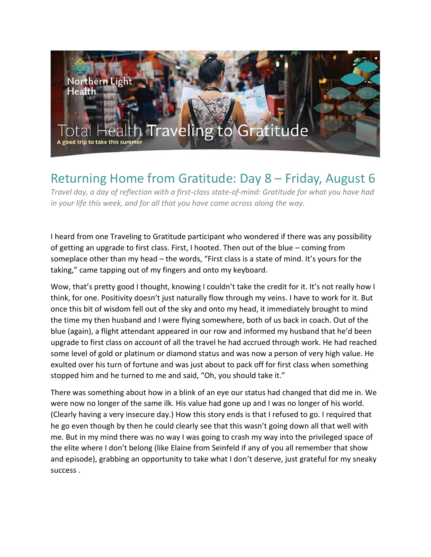

## Returning Home from Gratitude: Day 8 – Friday, August 6

*Travel day, a day of reflection with a first-class state-of-mind: Gratitude for what you have had in your life this week, and for all that you have come across along the way.*

I heard from one Traveling to Gratitude participant who wondered if there was any possibility of getting an upgrade to first class. First, I hooted. Then out of the blue – coming from someplace other than my head – the words, "First class is a state of mind. It's yours for the taking," came tapping out of my fingers and onto my keyboard.

Wow, that's pretty good I thought, knowing I couldn't take the credit for it. It's not really how I think, for one. Positivity doesn't just naturally flow through my veins. I have to work for it. But once this bit of wisdom fell out of the sky and onto my head, it immediately brought to mind the time my then husband and I were flying somewhere, both of us back in coach. Out of the blue (again), a flight attendant appeared in our row and informed my husband that he'd been upgrade to first class on account of all the travel he had accrued through work. He had reached some level of gold or platinum or diamond status and was now a person of very high value. He exulted over his turn of fortune and was just about to pack off for first class when something stopped him and he turned to me and said, "Oh, you should take it."

There was something about how in a blink of an eye our status had changed that did me in. We were now no longer of the same ilk. His value had gone up and I was no longer of his world. (Clearly having a very insecure day.) How this story ends is that I refused to go. I required that he go even though by then he could clearly see that this wasn't going down all that well with me. But in my mind there was no way I was going to crash my way into the privileged space of the elite where I don't belong (like Elaine from Seinfeld if any of you all remember that show and episode), grabbing an opportunity to take what I don't deserve, just grateful for my sneaky success .